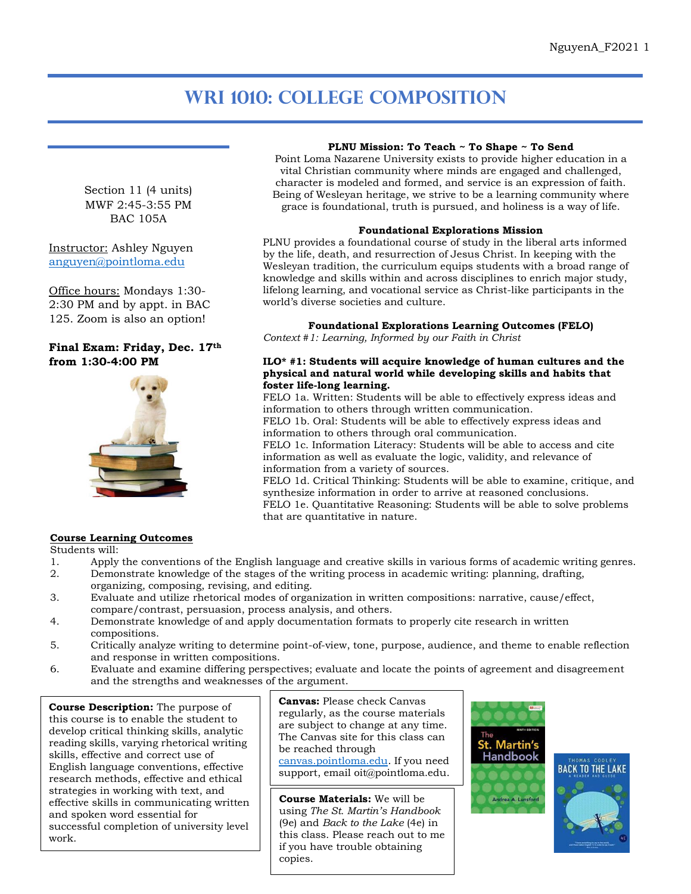# **WRI 1010: College Composition**

world's diverse societies and culture.

**foster life-long learning.**

*Context #1: Learning, Informed by our Faith in Christ*

information to others through written communication.

information to others through oral communication.

**PLNU Mission: To Teach ~ To Shape ~ To Send** Point Loma Nazarene University exists to provide higher education in a vital Christian community where minds are engaged and challenged, character is modeled and formed, and service is an expression of faith. Being of Wesleyan heritage, we strive to be a learning community where grace is foundational, truth is pursued, and holiness is a way of life.

**Foundational Explorations Mission** PLNU provides a foundational course of study in the liberal arts informed by the life, death, and resurrection of Jesus Christ. In keeping with the Wesleyan tradition, the curriculum equips students with a broad range of knowledge and skills within and across disciplines to enrich major study, lifelong learning, and vocational service as Christ-like participants in the

**Foundational Explorations Learning Outcomes (FELO)**

**ILO\* #1: Students will acquire knowledge of human cultures and the physical and natural world while developing skills and habits that** 

FELO 1a. Written: Students will be able to effectively express ideas and

FELO 1c. Information Literacy: Students will be able to access and cite information as well as evaluate the logic, validity, and relevance of

FELO 1d. Critical Thinking: Students will be able to examine, critique, and

FELO 1e. Quantitative Reasoning: Students will be able to solve problems

FELO 1b. Oral: Students will be able to effectively express ideas and

synthesize information in order to arrive at reasoned conclusions.

Section 11 (4 units) MWF 2:45-3:55 PM BAC 105A

Instructor: Ashley Nguyen [anguyen@pointloma.edu](mailto:anguyen@pointloma.edu)

Office hours: Mondays 1:30- 2:30 PM and by appt. in BAC 125. Zoom is also an option!

## **Final Exam: Friday, Dec. 17th from 1:30-4:00 PM**



### **Course Learning Outcomes**

Students will:

1. Apply the conventions of the English language and creative skills in various forms of academic writing genres.<br>2. Demonstrate knowledge of the stages of the writing process in academic writing: planning. drafting.

that are quantitative in nature.

information from a variety of sources.

- 2. Demonstrate knowledge of the stages of the writing process in academic writing: planning, drafting, organizing, composing, revising, and editing.
- 3. Evaluate and utilize rhetorical modes of organization in written compositions: narrative, cause/effect, compare/contrast, persuasion, process analysis, and others.
- 4. Demonstrate knowledge of and apply documentation formats to properly cite research in written compositions.
- 5. Critically analyze writing to determine point-of-view, tone, purpose, audience, and theme to enable reflection and response in written compositions.
- 6. Evaluate and examine differing perspectives; evaluate and locate the points of agreement and disagreement and the strengths and weaknesses of the argument.

**Course Description:** The purpose of this course is to enable the student to develop critical thinking skills, analytic reading skills, varying rhetorical writing skills, effective and correct use of English language conventions, effective research methods, effective and ethical strategies in working with text, and effective skills in communicating written and spoken word essential for successful completion of university level work.

**Canvas:** Please check Canvas regularly, as the course materials are subject to change at any time. The Canvas site for this class can be reached through [canvas.pointloma.edu.](http://canvas.pointloma.edu/) If you need

support, email oit@pointloma.edu.

**Course Materials:** We will be using *The St. Martin's Handbook* (9e) and *Back to the Lake* (4e) in this class. Please reach out to me if you have trouble obtaining copies.



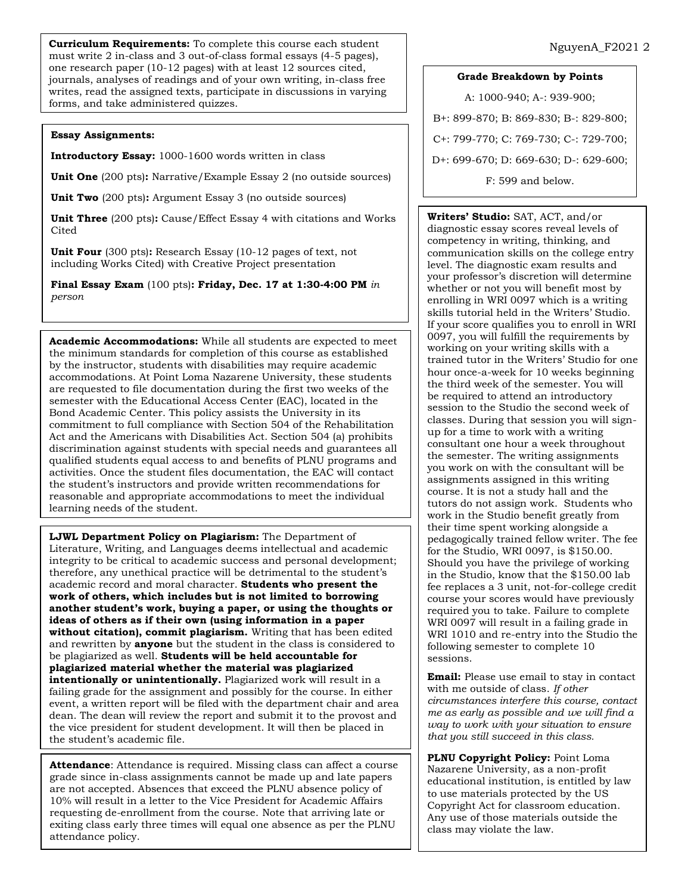**Curriculum Requirements:** To complete this course each student must write 2 in-class and 3 out-of-class formal essays (4-5 pages), one research paper (10-12 pages) with at least 12 sources cited, journals, analyses of readings and of your own writing, in-class free writes, read the assigned texts, participate in discussions in varying forms, and take administered quizzes.

#### **Essay Assignments:**

**Introductory Essay:** 1000-1600 words written in class

**Unit One** (200 pts)**:** Narrative/Example Essay 2 (no outside sources)

**Unit Two** (200 pts)**:** Argument Essay 3 (no outside sources)

**Unit Three** (200 pts)**:** Cause/Effect Essay 4 with citations and Works **Cited** 

**Unit Four** (300 pts)**:** Research Essay (10-12 pages of text, not including Works Cited) with Creative Project presentation

**Final Essay Exam** (100 pts)**: Friday, Dec. 17 at 1:30-4:00 PM** *in person*

**Academic Accommodations:** While all students are expected to meet the minimum standards for completion of this course as established by the instructor, students with disabilities may require academic accommodations. At Point Loma Nazarene University, these students are requested to file documentation during the first two weeks of the semester with the Educational Access Center (EAC), located in the Bond Academic Center. This policy assists the University in its commitment to full compliance with Section 504 of the Rehabilitation Act and the Americans with Disabilities Act. Section 504 (a) prohibits discrimination against students with special needs and guarantees all qualified students equal access to and benefits of PLNU programs and activities. Once the student files documentation, the EAC will contact the student's instructors and provide written recommendations for reasonable and appropriate accommodations to meet the individual learning needs of the student.

**LJWL Department Policy on Plagiarism:** The Department of Literature, Writing, and Languages deems intellectual and academic integrity to be critical to academic success and personal development; therefore, any unethical practice will be detrimental to the student's academic record and moral character. **Students who present the work of others, which includes but is not limited to borrowing another student's work, buying a paper, or using the thoughts or ideas of others as if their own (using information in a paper without citation), commit plagiarism.** Writing that has been edited and rewritten by **anyone** but the student in the class is considered to be plagiarized as well. **Students will be held accountable for plagiarized material whether the material was plagiarized intentionally or unintentionally.** Plagiarized work will result in a failing grade for the assignment and possibly for the course. In either event, a written report will be filed with the department chair and area dean. The dean will review the report and submit it to the provost and the vice president for student development. It will then be placed in the student's academic file.

**Attendance**: Attendance is required. Missing class can affect a course grade since in-class assignments cannot be made up and late papers are not accepted. Absences that exceed the PLNU absence policy of 10% will result in a letter to the Vice President for Academic Affairs requesting de-enrollment from the course. Note that arriving late or exiting class early three times will equal one absence as per the PLNU attendance policy.

#### **Grade Breakdown by Points**

A: 1000-940; A-: 939-900; B+: 899-870; B: 869-830; B-: 829-800; C+: 799-770; C: 769-730; C-: 729-700; D+: 699-670; D: 669-630; D-: 629-600; F: 599 and below.

**Writers' Studio:** SAT, ACT, and/or diagnostic essay scores reveal levels of competency in writing, thinking, and communication skills on the college entry level. The diagnostic exam results and your professor's discretion will determine whether or not you will benefit most by enrolling in WRI 0097 which is a writing skills tutorial held in the Writers' Studio. If your score qualifies you to enroll in WRI 0097, you will fulfill the requirements by working on your writing skills with a trained tutor in the Writers' Studio for one hour once-a-week for 10 weeks beginning the third week of the semester. You will be required to attend an introductory session to the Studio the second week of classes. During that session you will signup for a time to work with a writing consultant one hour a week throughout the semester. The writing assignments you work on with the consultant will be assignments assigned in this writing course. It is not a study hall and the tutors do not assign work. Students who work in the Studio benefit greatly from their time spent working alongside a pedagogically trained fellow writer. The fee for the Studio, WRI 0097, is \$150.00. Should you have the privilege of working in the Studio, know that the \$150.00 lab fee replaces a 3 unit, not-for-college credit course your scores would have previously required you to take. Failure to complete WRI 0097 will result in a failing grade in WRI 1010 and re-entry into the Studio the following semester to complete 10 sessions.

**Email:** Please use email to stay in contact with me outside of class. *If other circumstances interfere this course, contact me as early as possible and we will find a way to work with your situation to ensure that you still succeed in this class.*

**PLNU Copyright Policy:** Point Loma Nazarene University, as a non-profit educational institution, is entitled by law to use materials protected by the US Copyright Act for classroom education. Any use of those materials outside the class may violate the law.